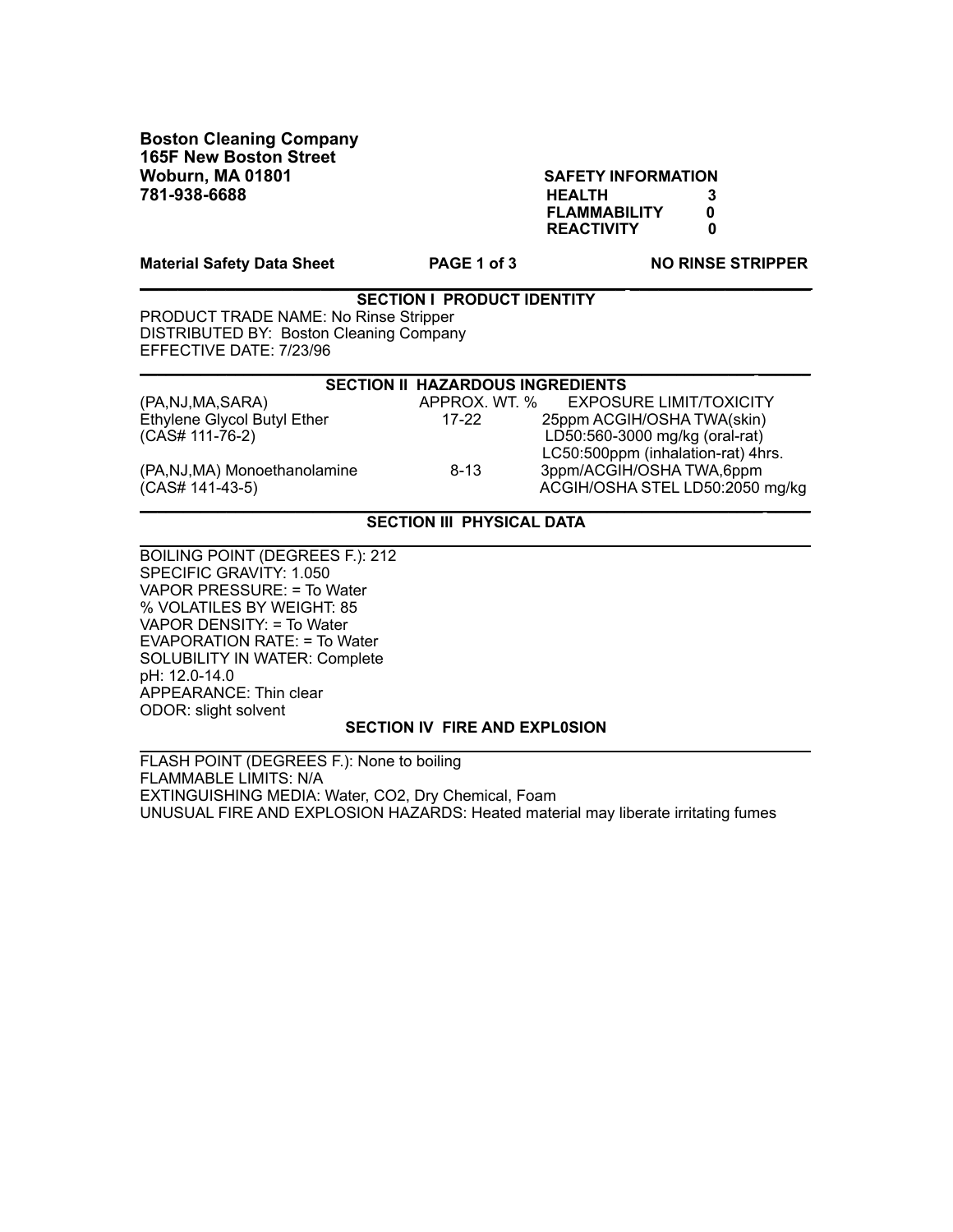**Boston Cleaning Company 165F New Boston Street Woburn, MA 01801 SAFETY INFORMATION 781-938-6688 HEALTH 3**

 **FLAMMABILITY 0 REACTIVITY** 

Material Safety Data Sheet **PAGE 1 of 3** NO RINSE STRIPPER

**\_\_\_\_\_\_\_\_\_\_\_\_\_\_\_\_\_\_\_\_\_\_\_\_\_\_\_\_\_\_\_\_\_\_\_\_\_\_\_\_\_\_\_\_\_\_\_\_\_\_\_ \_\_\_\_\_\_\_\_\_\_\_\_\_\_\_\_\_\_\_**

| <b>SECTION I PRODUCT IDENTITY</b>       |
|-----------------------------------------|
| PRODUCT TRADE NAME: No Rinse Stripper   |
| DISTRIBUTED BY: Boston Cleaning Company |
| EFFECTIVE DATE: 7/23/96                 |

| <b>SECTION II HAZARDOUS INGREDIENTS</b> |               |                                    |  |
|-----------------------------------------|---------------|------------------------------------|--|
| (PA, NJ, MA, SARA)                      | APPROX. WT. % | <b>EXPOSURE LIMIT/TOXICITY</b>     |  |
| Ethylene Glycol Butyl Ether             | 17-22         | 25ppm ACGIH/OSHA TWA(skin)         |  |
| (CAS# 111-76-2)                         |               | LD50:560-3000 mg/kg (oral-rat)     |  |
|                                         |               | LC50:500ppm (inhalation-rat) 4hrs. |  |
| (PA,NJ,MA) Monoethanolamine             | $8 - 13$      | 3ppm/ACGIH/OSHATWA,6ppm            |  |
| (CAS# 141-43-5)                         |               | ACGIH/OSHA STEL LD50:2050 mg/kg    |  |
|                                         |               |                                    |  |

## **SECTION III PHYSICAL DATA \_\_\_\_\_\_\_\_\_\_\_\_\_\_\_\_\_\_\_\_\_\_\_\_\_\_\_\_\_\_\_\_\_\_\_\_\_\_\_\_\_\_\_\_\_\_\_\_\_\_\_\_\_\_\_\_\_\_\_\_\_\_\_\_\_\_\_\_\_\_\_\_ \_\_\_\_\_**

BOILING POINT (DEGREES F.): 212 SPECIFIC GRAVITY: 1.050 VAPOR PRESSURE: = To Water % VOLATILES BY WEIGHT: 85 VAPOR DENSITY: = To Water EVAPORATION RATE: = To Water SOLUBILITY IN WATER: Complete pH: 12.0-14.0 APPEARANCE: Thin clear ODOR: slight solvent

## **SECTION IV FIRE AND EXPL0SION \_\_\_\_\_\_\_\_\_\_\_\_\_\_\_\_\_\_\_\_\_\_\_\_\_\_\_\_\_\_\_\_\_\_\_\_\_\_\_\_\_\_\_\_\_\_\_\_\_\_\_\_\_\_\_\_\_\_ \_\_\_\_\_\_\_\_\_\_\_\_\_\_\_\_\_\_\_**

FLASH POINT (DEGREES F.): None to boiling FLAMMABLE LIMITS: N/A EXTINGUISHING MEDIA: Water, CO2, Dry Chemical, Foam UNUSUAL FIRE AND EXPLOSION HAZARDS: Heated material may liberate irritating fumes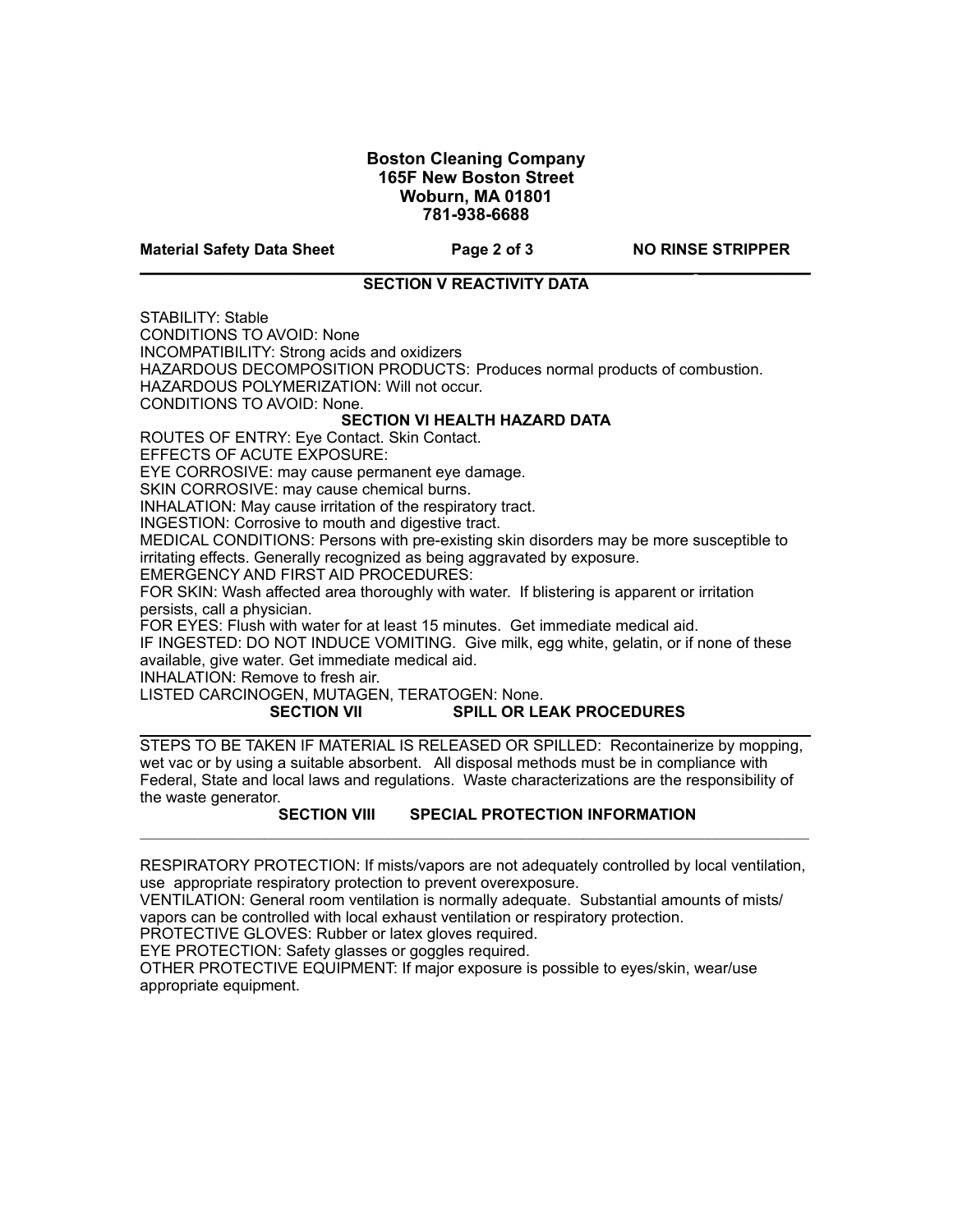# **Boston Cleaning Company 165F New Boston Street Woburn, MA 01801 781-938-6688**

**Material Safety Data Sheet Page 2 of 3 NO RINSE STRIPPER**

### **\_\_\_\_\_\_\_\_\_\_\_\_\_\_\_\_\_\_\_\_\_\_\_\_\_\_\_\_\_\_\_\_\_\_\_\_\_\_\_\_\_\_\_\_\_\_\_\_\_\_\_\_\_\_\_\_\_\_\_\_\_\_\_\_ \_\_\_\_\_\_\_\_\_\_\_\_\_ SECTION V REACTIVITY DATA**

STABILITY: Stable

CONDITIONS TO AVOID: None

INCOMPATIBILITY: Strong acids and oxidizers

HAZARDOUS DECOMPOSITION PRODUCTS: Produces normal products of combustion.

HAZARDOUS POLYMERIZATION: Will not occur.

CONDITIONS TO AVOID: None.

## **SECTION VI HEALTH HAZARD DATA**

ROUTES OF ENTRY: Eye Contact. Skin Contact.

EFFECTS OF ACUTE EXPOSURE:

EYE CORROSIVE: may cause permanent eye damage.

SKIN CORROSIVE: may cause chemical burns.

INHALATION: May cause irritation of the respiratory tract.

INGESTION: Corrosive to mouth and digestive tract.

MEDICAL CONDITIONS: Persons with pre-existing skin disorders may be more susceptible to irritating effects. Generally recognized as being aggravated by exposure.

EMERGENCY AND FIRST AID PROCEDURES:

FOR SKIN: Wash affected area thoroughly with water. If blistering is apparent or irritation persists, call a physician.

FOR EYES: Flush with water for at least 15 minutes. Get immediate medical aid.

IF INGESTED: DO NOT INDUCE VOMITING. Give milk, egg white, gelatin, or if none of these available, give water. Get immediate medical aid.

INHALATION: Remove to fresh air.

# LISTED CARCINOGEN, MUTAGEN, TERATOGEN: None.

#### SECTION VII SPILL OR LEAK PROCEDURES **\_\_\_\_\_\_\_\_\_\_\_\_\_\_\_\_\_\_\_\_\_\_\_\_\_\_\_\_\_\_\_\_\_\_\_\_\_\_\_\_\_\_\_\_\_\_\_\_\_\_\_\_\_\_\_\_\_\_\_\_\_\_\_\_\_\_\_\_\_\_\_\_\_\_\_ \_\_**

STEPS TO BE TAKEN IF MATERIAL IS RELEASED OR SPILLED: Recontainerize by mopping, wet vac or by using a suitable absorbent. All disposal methods must be in compliance with Federal, State and local laws and regulations. Waste characterizations are the responsibility of the waste generator.

# **SECTION VIII SPECIAL PROTECTION INFORMATION**

RESPIRATORY PROTECTION: If mists/vapors are not adequately controlled by local ventilation, use appropriate respiratory protection to prevent overexposure.

 $\mathcal{L}_\text{max}$ 

VENTILATION: General room ventilation is normally adequate. Substantial amounts of mists/ vapors can be controlled with local exhaust ventilation or respiratory protection.

PROTECTIVE GLOVES: Rubber or latex gloves required.

EYE PROTECTION: Safety glasses or goggles required.

OTHER PROTECTIVE EQUIPMENT: If major exposure is possible to eyes/skin, wear/use appropriate equipment.